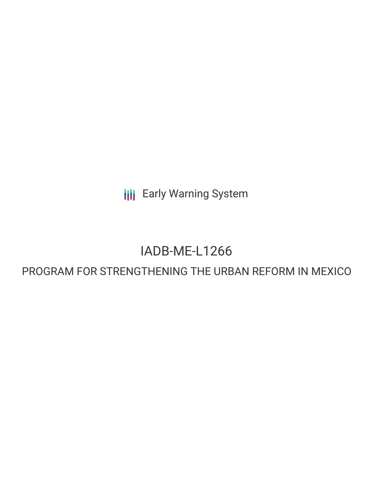**III** Early Warning System

## IADB-ME-L1266

## PROGRAM FOR STRENGTHENING THE URBAN REFORM IN MEXICO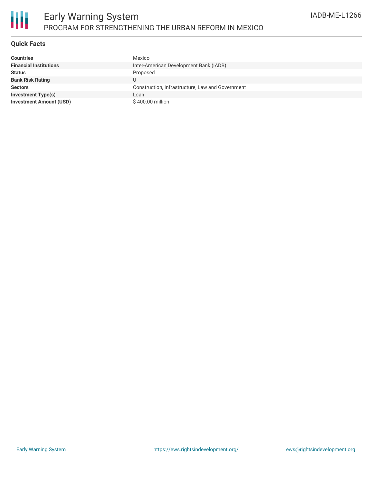

#### **Quick Facts**

| <b>Countries</b>               | Mexico                                           |
|--------------------------------|--------------------------------------------------|
| <b>Financial Institutions</b>  | Inter-American Development Bank (IADB)           |
| <b>Status</b>                  | Proposed                                         |
| <b>Bank Risk Rating</b>        | U                                                |
| <b>Sectors</b>                 | Construction, Infrastructure, Law and Government |
| <b>Investment Type(s)</b>      | Loan                                             |
| <b>Investment Amount (USD)</b> | $$400.00$ million                                |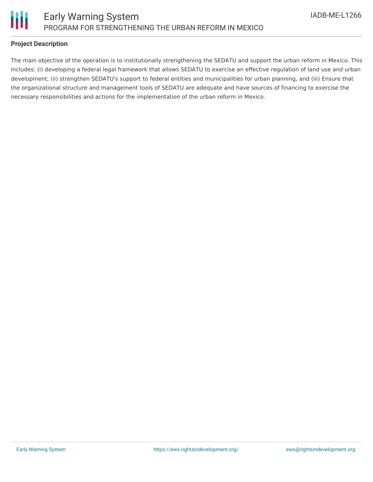

#### **Project Description**

The main objective of the operation is to institutionally strengthening the SEDATU and support the urban reform in Mexico. This includes: (i) developing a federal legal framework that allows SEDATU to exercise an effective regulation of land use and urban development; (ii) strengthen SEDATU's support to federal entities and municipalities for urban planning, and (iii) Ensure that the organizational structure and management tools of SEDATU are adequate and have sources of financing to exercise the necessary responsibilities and actions for the implementation of the urban reform in Mexico.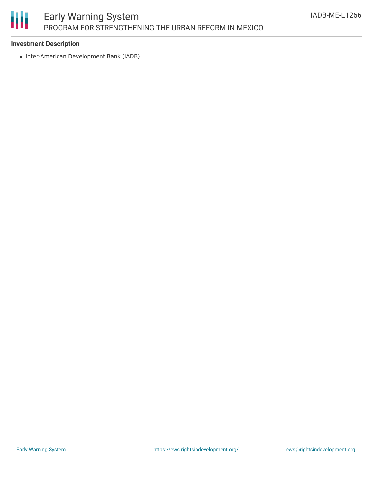# Ш

### Early Warning System PROGRAM FOR STRENGTHENING THE URBAN REFORM IN MEXICO

#### **Investment Description**

• Inter-American Development Bank (IADB)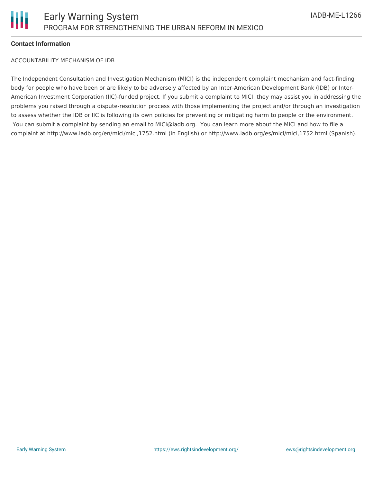

#### **Contact Information**

ACCOUNTABILITY MECHANISM OF IDB

The Independent Consultation and Investigation Mechanism (MICI) is the independent complaint mechanism and fact-finding body for people who have been or are likely to be adversely affected by an Inter-American Development Bank (IDB) or Inter-American Investment Corporation (IIC)-funded project. If you submit a complaint to MICI, they may assist you in addressing the problems you raised through a dispute-resolution process with those implementing the project and/or through an investigation to assess whether the IDB or IIC is following its own policies for preventing or mitigating harm to people or the environment. You can submit a complaint by sending an email to MICI@iadb.org. You can learn more about the MICI and how to file a complaint at http://www.iadb.org/en/mici/mici,1752.html (in English) or http://www.iadb.org/es/mici/mici,1752.html (Spanish).